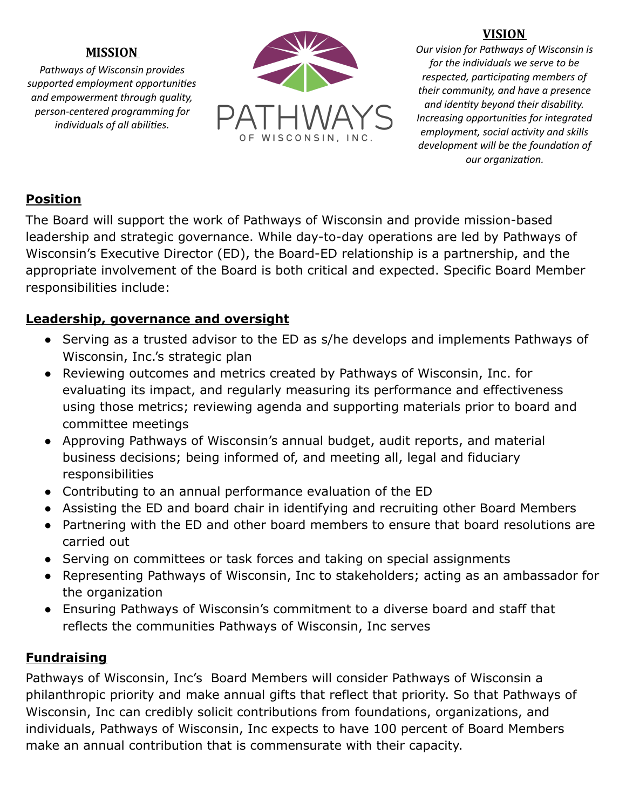### **MISSION**

*Pathways of Wisconsin provides supported employment opportunies and empowerment through quality, person-centered programming for individuals of all abilies.*



#### **VISION**

*Our vision for Pathways of Wisconsin is for the individuals we serve to be*  $r$ *espected, participating members of their community, and have a presence and identy beyond their disability. Increasing opportunies for integrated employment, social activity and skills*  $d$ *evelopment* will be the foundation of  $our$  *organization.* 

## **Position**

The Board will support the work of Pathways of Wisconsin and provide mission-based leadership and strategic governance. While day-to-day operations are led by Pathways of Wisconsin's Executive Director (ED), the Board-ED relationship is a partnership, and the appropriate involvement of the Board is both critical and expected. Specific Board Member responsibilities include:

## **Leadership, governance and oversight**

- Serving as a trusted advisor to the ED as s/he develops and implements Pathways of Wisconsin, Inc.'s strategic plan
- Reviewing outcomes and metrics created by Pathways of Wisconsin, Inc. for evaluating its impact, and regularly measuring its performance and effectiveness using those metrics; reviewing agenda and supporting materials prior to board and committee meetings
- Approving Pathways of Wisconsin's annual budget, audit reports, and material business decisions; being informed of, and meeting all, legal and fiduciary responsibilities
- Contributing to an annual performance evaluation of the ED
- Assisting the ED and board chair in identifying and recruiting other Board Members
- Partnering with the ED and other board members to ensure that board resolutions are carried out
- Serving on committees or task forces and taking on special assignments
- Representing Pathways of Wisconsin, Inc to stakeholders; acting as an ambassador for the organization
- Ensuring Pathways of Wisconsin's commitment to a diverse board and staff that reflects the communities Pathways of Wisconsin, Inc serves

# **Fundraising**

Pathways of Wisconsin, Inc's Board Members will consider Pathways of Wisconsin a philanthropic priority and make annual gifts that reflect that priority. So that Pathways of Wisconsin, Inc can credibly solicit contributions from foundations, organizations, and individuals, Pathways of Wisconsin, Inc expects to have 100 percent of Board Members make an annual contribution that is commensurate with their capacity.